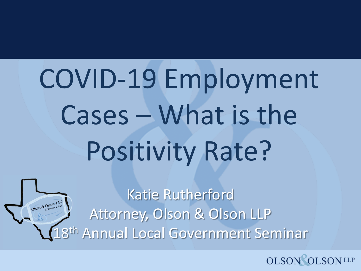# COVID-19 Employment Cases – What is the Positivity Rate?

Katie Rutherford Attorney, Olson & Olson LLP 8<sup>th</sup> Annual Local Government Seminar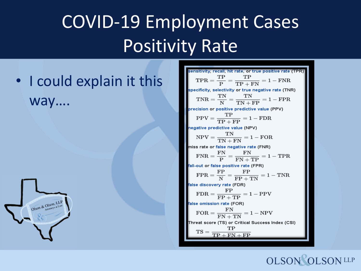#### COVID-19 Employment Cases Positivity Rate

• I could explain it this way….



sensitivity, recall, hit rate, or true positive rate (TPR)  $TPR = \frac{TP}{P} = \frac{TP}{TP + FN} = 1 - FNR$ specificity, selectivity or true negative rate (TNR)  $\text{TNR} = \frac{\text{TN}}{\text{N}} = \frac{\text{TN}}{\text{TN} + \text{FP}} = 1 - \text{FPR}$ precision or positive predictive value (PPV)  $PPV = \frac{TP}{TP + FP} = 1 - FDR$ negative predictive value (NPV)  $NPV = \frac{TN}{TN + FN} = 1 - FOR$ miss rate or false negative rate (FNR)  $\text{FNR} = \frac{\text{FN}}{\text{P}} = \frac{\text{FN}}{\text{FN} + \text{TP}} = 1 - \text{TPR}$ fall-out or false positive rate (FPR)  $\text{FPR} = \frac{\text{FP}}{\text{N}} = \frac{\text{FP}}{\text{FP} + \text{TN}} = 1 - \text{TNR}$ false discovery rate (FDR)  $FDR = \frac{FP}{FP + TP} = 1 - PPV$ false omission rate (FOR)  $\text{FOR} = \frac{\text{FN}}{\text{FN} + \text{TN}} = 1 - \text{NPV}$ Threat score (TS) or Critical Success Index (CSI)  $TP$  $TS = \frac{11}{TP + FN + FP}$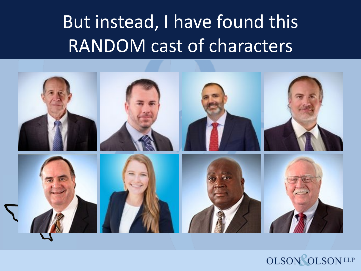#### But instead, I have found this RANDOM cast of characters

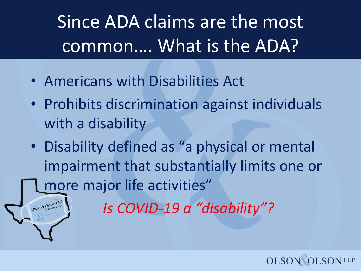Since ADA claims are the most common…. What is the ADA?

• Americans with Disabilities Act

Olson & Olson, LL

- Prohibits discrimination against individuals with a disability
- Disability defined as "a physical or mental impairment that substantially limits one or more major life activities"

*Is COVID-19 a "disability"?*

**OLSO**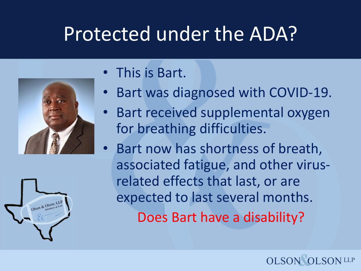#### Protected under the ADA?





- This is Bart.
- Bart was diagnosed with COVID-19.
- Bart received supplemental oxygen for breathing difficulties.
- Bart now has shortness of breath, associated fatigue, and other virusrelated effects that last, or are expected to last several months. Does Bart have a disability?

**OLSO**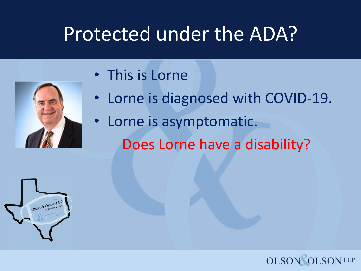#### Protected under the ADA?

- This is Lorne
- Lorne is diagnosed with COVID-19.
- Lorne is asymptomatic. Does Lorne have a disability?



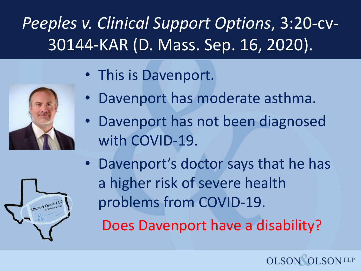#### *Peeples v. Clinical Support Options*, 3:20-cv-30144-KAR (D. Mass. Sep. 16, 2020).



- This is Davenport.
- Davenport has moderate asthma.
- Davenport has not been diagnosed with COVID-19.
- Davenport's doctor says that he has a higher risk of severe health problems from COVID-19.

Does Davenport have a disability?

**OLSON** 

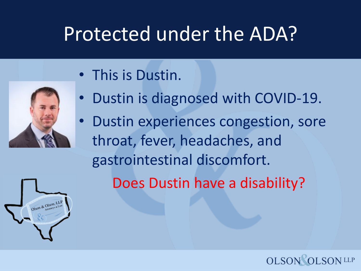### Protected under the ADA?

• This is Dustin.



- Dustin is diagnosed with COVID-19.
- Dustin experiences congestion, sore throat, fever, headaches, and gastrointestinal discomfort.

Does Dustin have a disability?

**OLSON** 

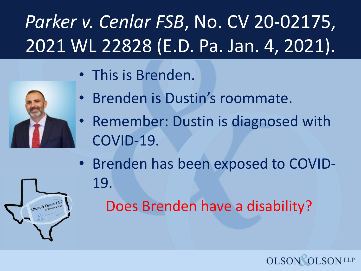# *Parker v. Cenlar FSB*, No. CV 20-02175, 2021 WL 22828 (E.D. Pa. Jan. 4, 2021).

• This is Brenden.



- Brenden is Dustin's roommate.
- Remember: Dustin is diagnosed with COVID-19.
- Brenden has been exposed to COVID-19.

Does Brenden have a disability?

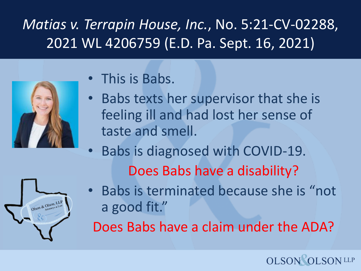#### *Matias v. Terrapin House, Inc.*, No. 5:21-CV-02288, 2021 WL 4206759 (E.D. Pa. Sept. 16, 2021)



- This is Babs.
- Babs texts her supervisor that she is feeling ill and had lost her sense of taste and smell.
- Babs is diagnosed with COVID-19. Does Babs have a disability?



• Babs is terminated because she is "not a good fit."

Does Babs have a claim under the ADA?

#### **OLSON**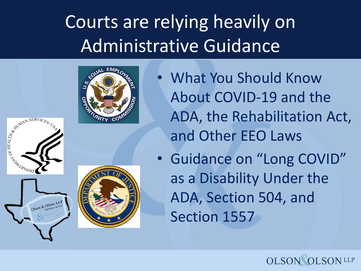### Courts are relying heavily on Administrative Guidance





ARIAN ARABERVICES.

Olson & Olson, LLF

- What You Should Know About COVID-19 and the ADA, the Rehabilitation Act, and Other EEO Laws
- Guidance on "Long COVID" as a Disability Under the ADA, Section 504, and Section 1557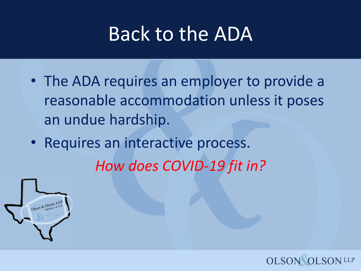#### Back to the ADA

- The ADA requires an employer to provide a reasonable accommodation unless it poses an undue hardship.
- Requires an interactive process.

*How does COVID-19 fit in?*



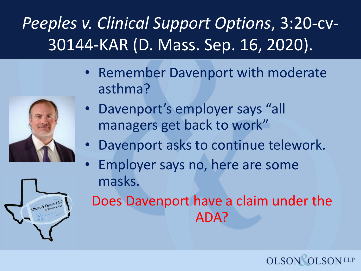#### *Peeples v. Clinical Support Options*, 3:20-cv-30144-KAR (D. Mass. Sep. 16, 2020).

- Remember Davenport with moderate asthma?
	- Davenport's employer says "all managers get back to work"
	- Davenport asks to continue telework.
	- Employer says no, here are some masks.

Does Davenport have a claim under the ADA?

**OLSON** 



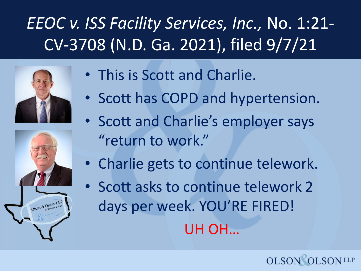#### *EEOC v. ISS Facility Services, Inc.,* No. 1:21- CV-3708 (N.D. Ga. 2021), filed 9/7/21



- This is Scott and Charlie.
- Scott has COPD and hypertension.
- Scott and Charlie's employer says "return to work."
- Charlie gets to continue telework.
- Scott asks to continue telework 2 days per week. YOU'RE FIRED! UH OH…

**OLSON**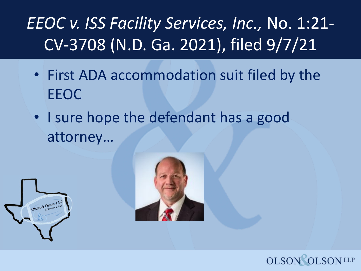#### *EEOC v. ISS Facility Services, Inc.,* No. 1:21- CV-3708 (N.D. Ga. 2021), filed 9/7/21

- First ADA accommodation suit filed by the EEOC
- I sure hope the defendant has a good attorney…





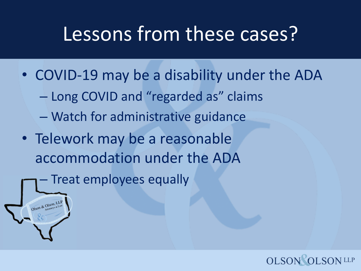#### Lessons from these cases?

• COVID-19 may be a disability under the ADA

**OLSON** 

- Long COVID and "regarded as" claims
- Watch for administrative guidance
- Telework may be a reasonable accommodation under the ADA
	- Treat employees equally

on & Olson, I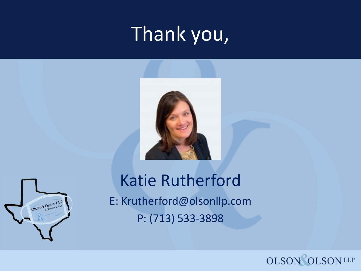## Thank you,





#### Katie Rutherford E: Krutherford@olsonllp.com P: (713) 533-3898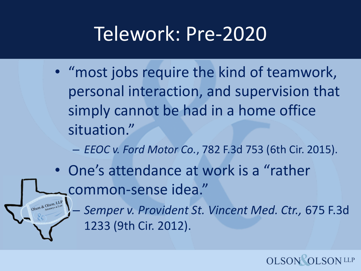#### Telework: Pre-2020

• "most jobs require the kind of teamwork, personal interaction, and supervision that simply cannot be had in a home office situation."

– *EEOC v. Ford Motor Co.*, 782 F.3d 753 (6th Cir. 2015).

- One's attendance at work is a "rather common-sense idea."
	- *Semper v. Provident St. Vincent Med. Ctr.,* 675 F.3d 1233 (9th Cir. 2012).

**OLSO**